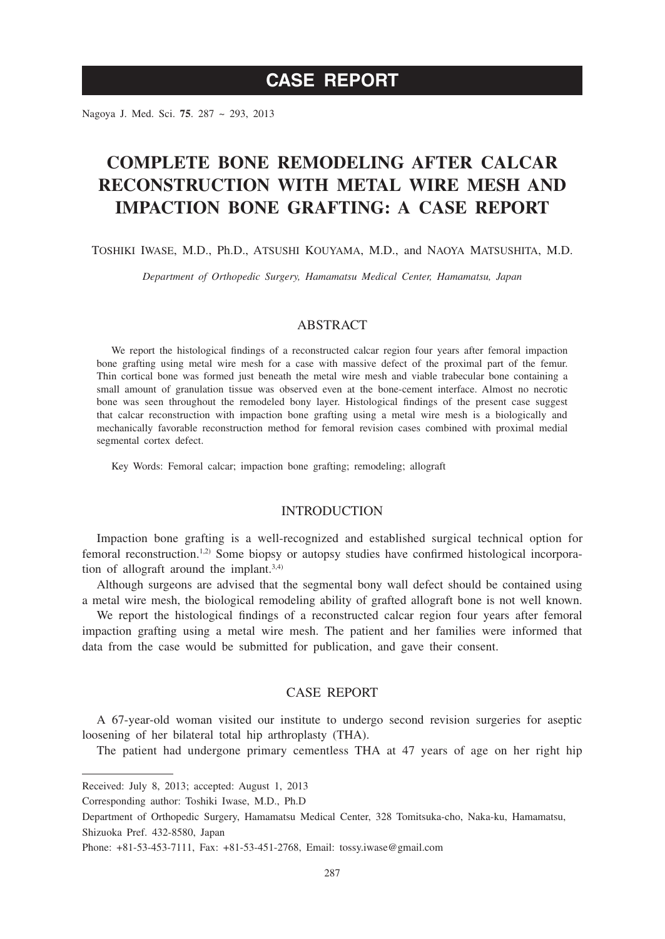# **CASE REPORT**

Nagoya J. Med. Sci. **75**. 287 ~ 293, 2013

# **COMPLETE BONE REMODELING AFTER CALCAR RECONSTRUCTION WITH METAL WIRE MESH AND IMPACTION BONE GRAFTING: A CASE REPORT**

Toshiki Iwase, M.D., Ph.D., Atsushi Kouyama, M.D., and Naoya Matsushita, M.D.

*Department of Orthopedic Surgery, Hamamatsu Medical Center, Hamamatsu, Japan*

## ABSTRACT

We report the histological findings of a reconstructed calcar region four years after femoral impaction bone grafting using metal wire mesh for a case with massive defect of the proximal part of the femur. Thin cortical bone was formed just beneath the metal wire mesh and viable trabecular bone containing a small amount of granulation tissue was observed even at the bone-cement interface. Almost no necrotic bone was seen throughout the remodeled bony layer. Histological findings of the present case suggest that calcar reconstruction with impaction bone grafting using a metal wire mesh is a biologically and mechanically favorable reconstruction method for femoral revision cases combined with proximal medial segmental cortex defect.

Key Words: Femoral calcar; impaction bone grafting; remodeling; allograft

### INTRODUCTION

Impaction bone grafting is a well-recognized and established surgical technical option for femoral reconstruction.1,2) Some biopsy or autopsy studies have confirmed histological incorporation of allograft around the implant.3,4)

Although surgeons are advised that the segmental bony wall defect should be contained using a metal wire mesh, the biological remodeling ability of grafted allograft bone is not well known.

We report the histological findings of a reconstructed calcar region four years after femoral impaction grafting using a metal wire mesh. The patient and her families were informed that data from the case would be submitted for publication, and gave their consent.

# CASE REPORT

A 67-year-old woman visited our institute to undergo second revision surgeries for aseptic loosening of her bilateral total hip arthroplasty (THA).

The patient had undergone primary cementless THA at 47 years of age on her right hip

Received: July 8, 2013; accepted: August 1, 2013

Corresponding author: Toshiki Iwase, M.D., Ph.D

Department of Orthopedic Surgery, Hamamatsu Medical Center, 328 Tomitsuka-cho, Naka-ku, Hamamatsu, Shizuoka Pref. 432-8580, Japan

Phone: +81-53-453-7111, Fax: +81-53-451-2768, Email: tossy.iwase@gmail.com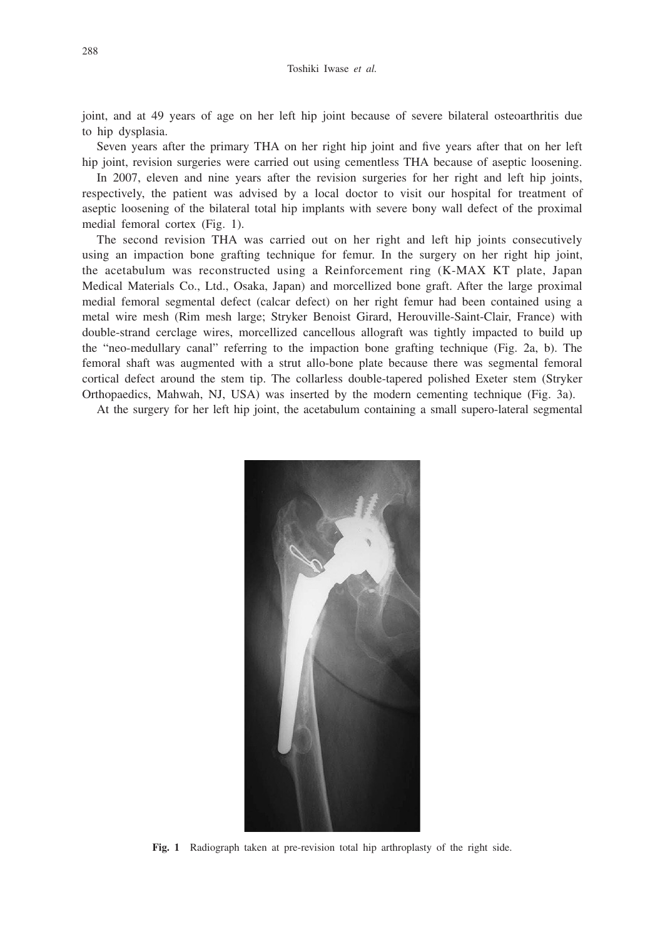joint, and at 49 years of age on her left hip joint because of severe bilateral osteoarthritis due to hip dysplasia.

Seven years after the primary THA on her right hip joint and five years after that on her left hip joint, revision surgeries were carried out using cementless THA because of aseptic loosening.

In 2007, eleven and nine years after the revision surgeries for her right and left hip joints, respectively, the patient was advised by a local doctor to visit our hospital for treatment of aseptic loosening of the bilateral total hip implants with severe bony wall defect of the proximal medial femoral cortex (Fig. 1).

The second revision THA was carried out on her right and left hip joints consecutively using an impaction bone grafting technique for femur. In the surgery on her right hip joint, the acetabulum was reconstructed using a Reinforcement ring (K-MAX KT plate, Japan Medical Materials Co., Ltd., Osaka, Japan) and morcellized bone graft. After the large proximal medial femoral segmental defect (calcar defect) on her right femur had been contained using a metal wire mesh (Rim mesh large; Stryker Benoist Girard, Herouville-Saint-Clair, France) with double-strand cerclage wires, morcellized cancellous allograft was tightly impacted to build up the "neo-medullary canal" referring to the impaction bone grafting technique (Fig. 2a, b). The femoral shaft was augmented with a strut allo-bone plate because there was segmental femoral cortical defect around the stem tip. The collarless double-tapered polished Exeter stem (Stryker Orthopaedics, Mahwah, NJ, USA) was inserted by the modern cementing technique (Fig. 3a).

At the surgery for her left hip joint, the acetabulum containing a small supero-lateral segmental



**Fig. 1** Radiograph taken at pre-revision total hip arthroplasty of the right side.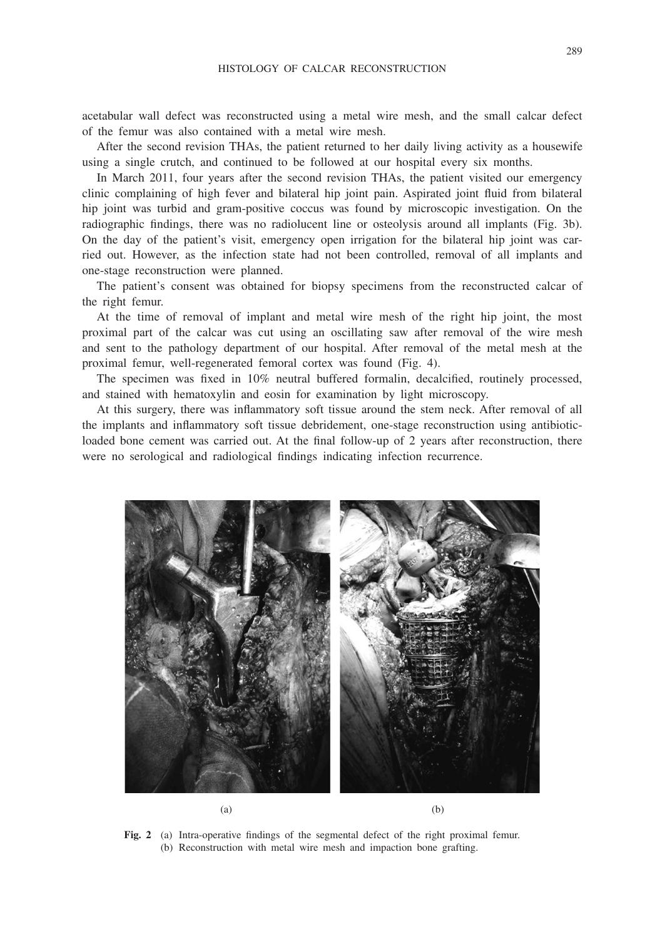acetabular wall defect was reconstructed using a metal wire mesh, and the small calcar defect of the femur was also contained with a metal wire mesh.

After the second revision THAs, the patient returned to her daily living activity as a housewife using a single crutch, and continued to be followed at our hospital every six months.

In March 2011, four years after the second revision THAs, the patient visited our emergency clinic complaining of high fever and bilateral hip joint pain. Aspirated joint fluid from bilateral hip joint was turbid and gram-positive coccus was found by microscopic investigation. On the radiographic findings, there was no radiolucent line or osteolysis around all implants (Fig. 3b). On the day of the patient's visit, emergency open irrigation for the bilateral hip joint was carried out. However, as the infection state had not been controlled, removal of all implants and one-stage reconstruction were planned.

The patient's consent was obtained for biopsy specimens from the reconstructed calcar of the right femur.

At the time of removal of implant and metal wire mesh of the right hip joint, the most proximal part of the calcar was cut using an oscillating saw after removal of the wire mesh and sent to the pathology department of our hospital. After removal of the metal mesh at the proximal femur, well-regenerated femoral cortex was found (Fig. 4).

The specimen was fixed in 10% neutral buffered formalin, decalcified, routinely processed, and stained with hematoxylin and eosin for examination by light microscopy.

At this surgery, there was inflammatory soft tissue around the stem neck. After removal of all the implants and inflammatory soft tissue debridement, one-stage reconstruction using antibioticloaded bone cement was carried out. At the final follow-up of 2 years after reconstruction, there were no serological and radiological findings indicating infection recurrence.



**Fig. 2** (a) Intra-operative findings of the segmental defect of the right proximal femur. (b) Reconstruction with metal wire mesh and impaction bone grafting.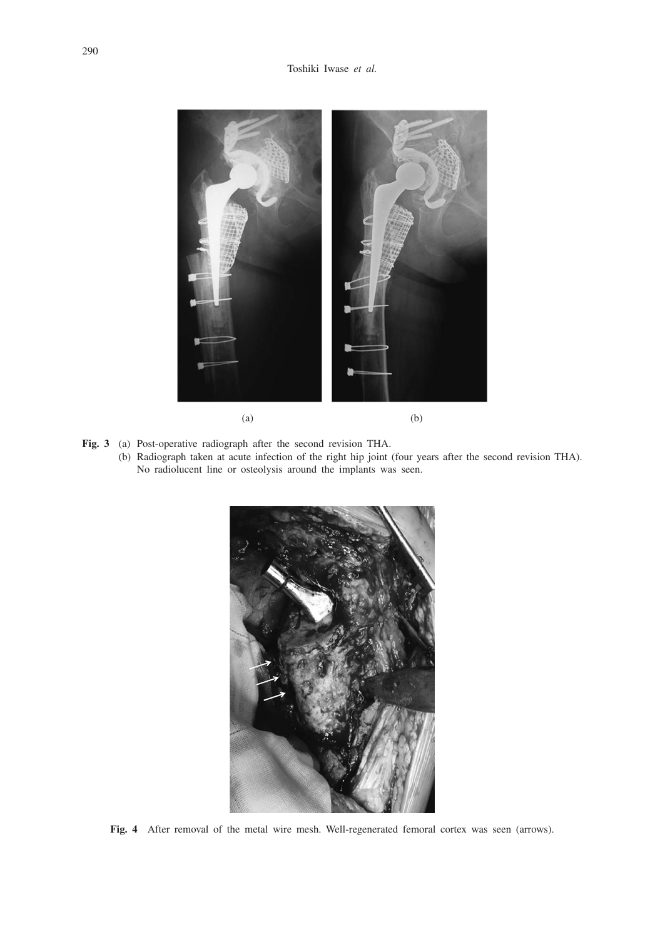

- **Fig. 3** (a) Post-operative radiograph after the second revision THA.
	- (b) Radiograph taken at acute infection of the right hip joint (four years after the second revision THA). No radiolucent line or osteolysis around the implants was seen.



**Fig. 4** After removal of the metal wire mesh. Well-regenerated femoral cortex was seen (arrows).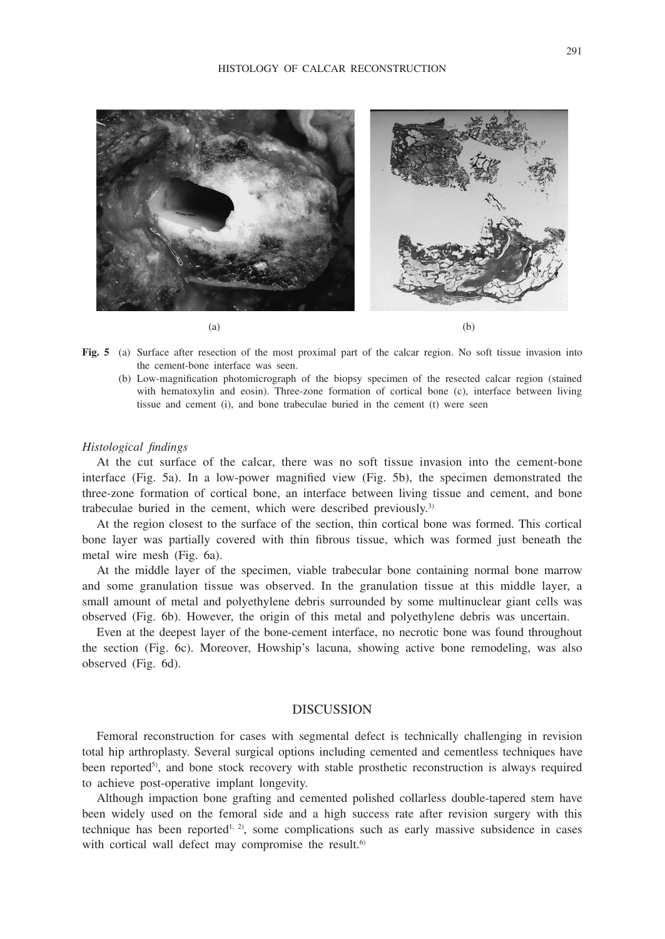

- **Fig. 5** (a) Surface after resection of the most proximal part of the calcar region. No soft tissue invasion into the cement-bone interface was seen.
	- (b) Low-magnification photomicrograph of the biopsy specimen of the resected calcar region (stained with hematoxylin and eosin). Three-zone formation of cortical bone (c), interface between living tissue and cement (i), and bone trabeculae buried in the cement (t) were seen

#### *Histological findings*

At the cut surface of the calcar, there was no soft tissue invasion into the cement-bone interface (Fig. 5a). In a low-power magnified view (Fig. 5b), the specimen demonstrated the three-zone formation of cortical bone, an interface between living tissue and cement, and bone trabeculae buried in the cement, which were described previously.3)

At the region closest to the surface of the section, thin cortical bone was formed. This cortical bone layer was partially covered with thin fibrous tissue, which was formed just beneath the metal wire mesh (Fig. 6a).

At the middle layer of the specimen, viable trabecular bone containing normal bone marrow and some granulation tissue was observed. In the granulation tissue at this middle layer, a small amount of metal and polyethylene debris surrounded by some multinuclear giant cells was observed (Fig. 6b). However, the origin of this metal and polyethylene debris was uncertain.

Even at the deepest layer of the bone-cement interface, no necrotic bone was found throughout the section (Fig. 6c). Moreover, Howship's lacuna, showing active bone remodeling, was also observed (Fig. 6d).

### DISCUSSION

Femoral reconstruction for cases with segmental defect is technically challenging in revision total hip arthroplasty. Several surgical options including cemented and cementless techniques have been reported<sup>5)</sup>, and bone stock recovery with stable prosthetic reconstruction is always required to achieve post-operative implant longevity.

Although impaction bone grafting and cemented polished collarless double-tapered stem have been widely used on the femoral side and a high success rate after revision surgery with this technique has been reported<sup> $1, 2)$ </sup>, some complications such as early massive subsidence in cases with cortical wall defect may compromise the result.<sup>6)</sup>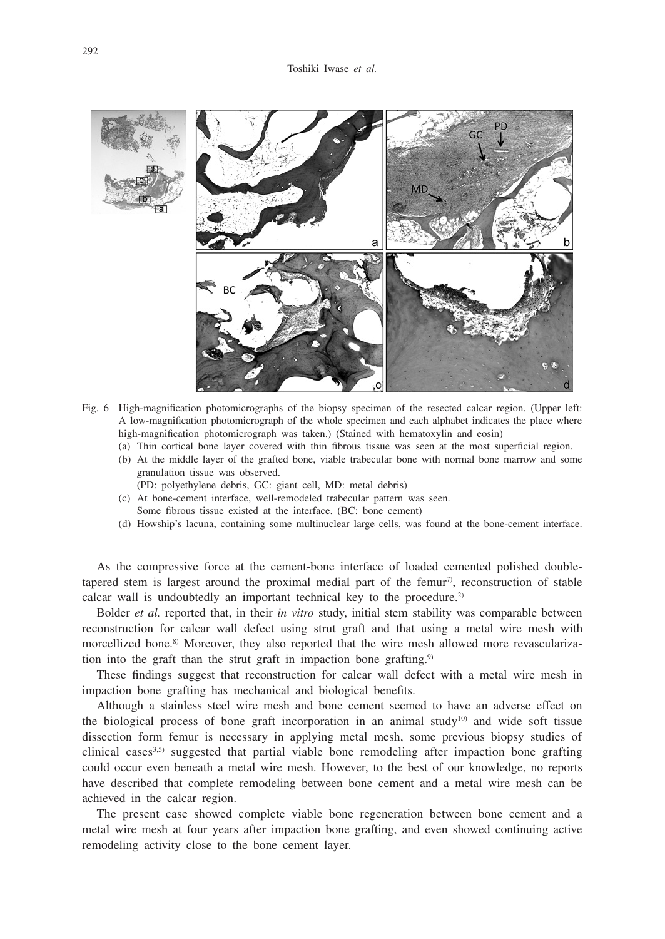

- Fig. 6 High-magnification photomicrographs of the biopsy specimen of the resected calcar region. (Upper left: A low-magnification photomicrograph of the whole specimen and each alphabet indicates the place where high-magnification photomicrograph was taken.) (Stained with hematoxylin and eosin)
	- (a) Thin cortical bone layer covered with thin fibrous tissue was seen at the most superficial region.
	- (b) At the middle layer of the grafted bone, viable trabecular bone with normal bone marrow and some granulation tissue was observed.
	- (PD: polyethylene debris, GC: giant cell, MD: metal debris)
	- (c) At bone-cement interface, well-remodeled trabecular pattern was seen. Some fibrous tissue existed at the interface. (BC: bone cement)
	- (d) Howship's lacuna, containing some multinuclear large cells, was found at the bone-cement interface.

As the compressive force at the cement-bone interface of loaded cemented polished doubletapered stem is largest around the proximal medial part of the femur<sup>7</sup>, reconstruction of stable calcar wall is undoubtedly an important technical key to the procedure.<sup>2)</sup>

Bolder *et al.* reported that, in their *in vitro* study, initial stem stability was comparable between reconstruction for calcar wall defect using strut graft and that using a metal wire mesh with morcellized bone.<sup>8)</sup> Moreover, they also reported that the wire mesh allowed more revascularization into the graft than the strut graft in impaction bone grafting.<sup>9)</sup>

These findings suggest that reconstruction for calcar wall defect with a metal wire mesh in impaction bone grafting has mechanical and biological benefits.

Although a stainless steel wire mesh and bone cement seemed to have an adverse effect on the biological process of bone graft incorporation in an animal study<sup>10)</sup> and wide soft tissue dissection form femur is necessary in applying metal mesh, some previous biopsy studies of clinical cases<sup>3,5)</sup> suggested that partial viable bone remodeling after impaction bone grafting could occur even beneath a metal wire mesh. However, to the best of our knowledge, no reports have described that complete remodeling between bone cement and a metal wire mesh can be achieved in the calcar region.

The present case showed complete viable bone regeneration between bone cement and a metal wire mesh at four years after impaction bone grafting, and even showed continuing active remodeling activity close to the bone cement layer.